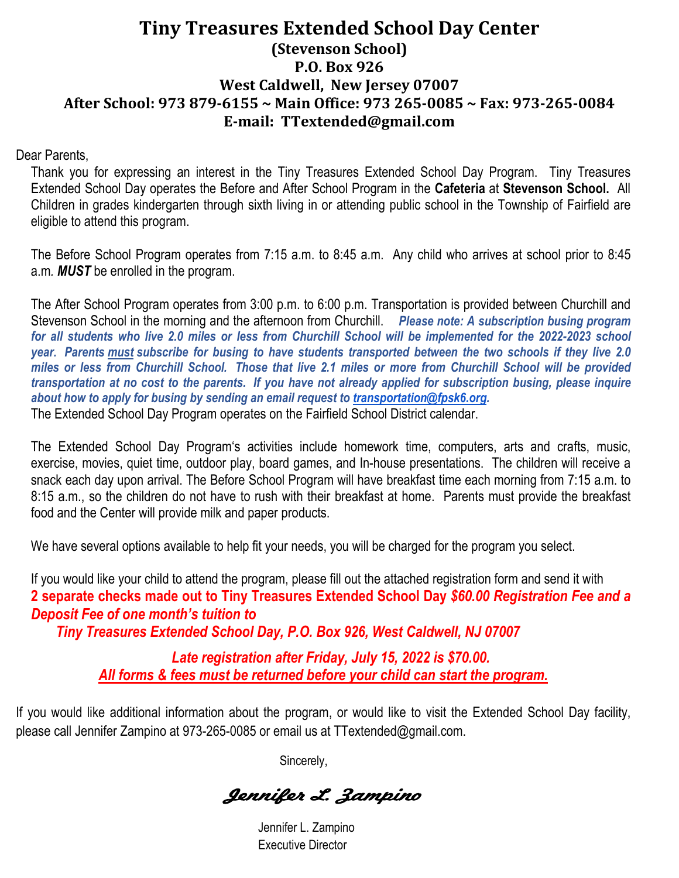#### **Tiny Treasures Extended School Day Center (Stevenson School) P.O. Box 926 West Caldwell, New Jersey 07007 After School: 973 879-6155 ~ Main Office: 973 265-0085 ~ Fax: 973-265-0084 E-mail: TTextended@gmail.com**

Dear Parents,

Thank you for expressing an interest in the Tiny Treasures Extended School Day Program. Tiny Treasures Extended School Day operates the Before and After School Program in the **Cafeteria** at **Stevenson School.** All Children in grades kindergarten through sixth living in or attending public school in the Township of Fairfield are eligible to attend this program.

The Before School Program operates from 7:15 a.m. to 8:45 a.m. Any child who arrives at school prior to 8:45 a.m*. MUST* be enrolled in the program.

The After School Program operates from 3:00 p.m. to 6:00 p.m. Transportation is provided between Churchill and Stevenson School in the morning and the afternoon from Churchill. *Please note: A subscription busing program*  for all students who live 2.0 miles or less from Churchill School will be implemented for the 2022-2023 school *year. Parents must subscribe for busing to have students transported between the two schools if they live 2.0 miles or less from Churchill School. Those that live 2.1 miles or more from Churchill School will be provided transportation at no cost to the parents. If you have not already applied for subscription busing, please inquire about how to apply for busing by sending an email request to [transportation@fpsk6.org.](mailto:transportation@fpsk6.org)*  The Extended School Day Program operates on the Fairfield School District calendar.

The Extended School Day Program's activities include homework time, computers, arts and crafts, music, exercise, movies, quiet time, outdoor play, board games, and In-house presentations. The children will receive a snack each day upon arrival. The Before School Program will have breakfast time each morning from 7:15 a.m. to 8:15 a.m., so the children do not have to rush with their breakfast at home. Parents must provide the breakfast food and the Center will provide milk and paper products.

We have several options available to help fit your needs, you will be charged for the program you select.

If you would like your child to attend the program, please fill out the attached registration form and send it with **2 separate checks made out to Tiny Treasures Extended School Day** *\$60.00 Registration Fee and a Deposit Fee of one month's tuition to* 

*Tiny Treasures Extended School Day, P.O. Box 926, West Caldwell, NJ 07007*

*Late registration after Friday, July 15, 2022 is \$70.00. All forms & fees must be returned before your child can start the program.*

If you would like additional information about the program, or would like to visit the Extended School Day facility, please call Jennifer Zampino at 973-265-0085 or email us at TTextended@gmail.com.

Sincerely,

Jennifer L. Zampino

Jennifer L. Zampino Executive Director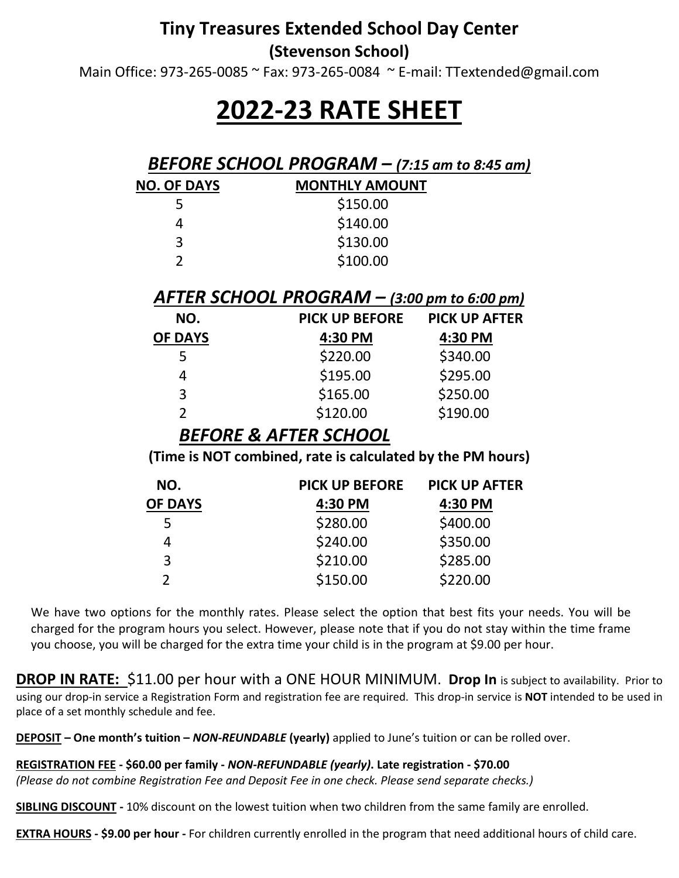## **Tiny Treasures Extended School Day Center**

**(Stevenson School)**

Main Office: 973-265-0085 ~ Fax: 973-265-0084 ~ E-mail: TTextended@gmail.com

# **2022-23 RATE SHEET**

#### *BEFORE SCHOOL PROGRAM – (7:15 am to 8:45 am)*

| <b>NO. OF DAYS</b> | <b>MONTHLY AMOUNT</b> |  |  |
|--------------------|-----------------------|--|--|
| 5                  | \$150.00              |  |  |
| 4                  | \$140.00              |  |  |
| 3                  | \$130.00              |  |  |
| າ                  | \$100.00              |  |  |
|                    |                       |  |  |

#### *AFTER SCHOOL PROGRAM – (3:00 pm to 6:00 pm)*

| NO.            | <b>PICK UP BEFORE</b> | <b>PICK UP AFTER</b> |
|----------------|-----------------------|----------------------|
| <b>OF DAYS</b> | 4:30 PM               | 4:30 PM              |
|                | \$220.00              | \$340.00             |
| 4              | \$195.00              | \$295.00             |
| 3              | \$165.00              | \$250.00             |
|                | \$120.00              | \$190.00             |

#### *BEFORE & AFTER SCHOOL*

**(Time is NOT combined, rate is calculated by the PM hours)**

| NO.            | <b>PICK UP BEFORE</b> | <b>PICK UP AFTER</b> |
|----------------|-----------------------|----------------------|
| <b>OF DAYS</b> | 4:30 PM               | 4:30 PM              |
|                | \$280.00              | \$400.00             |
| 4              | \$240.00              | \$350.00             |
| 3              | \$210.00              | \$285.00             |
|                | \$150.00              | \$220.00             |

We have two options for the monthly rates. Please select the option that best fits your needs. You will be charged for the program hours you select. However, please note that if you do not stay within the time frame you choose, you will be charged for the extra time your child is in the program at \$9.00 per hour.

**DROP IN RATE:** \$11.00 per hour with a ONE HOUR MINIMUM. Drop In is subject to availability. Prior to using our drop-in service a Registration Form and registration fee are required. This drop-in service is **NOT** intended to be used in place of a set monthly schedule and fee.

**DEPOSIT – One month's tuition –** *NON-REUNDABLE* **(yearly)** applied to June's tuition or can be rolled over.

**REGISTRATION FEE - \$60.00 per family -** *NON-REFUNDABLE (yearly)***. Late registration - \$70.00**

*(Please do not combine Registration Fee and Deposit Fee in one check. Please send separate checks.)* 

**SIBLING DISCOUNT -** 10% discount on the lowest tuition when two children from the same family are enrolled.

**EXTRA HOURS - \$9.00 per hour -** For children currently enrolled in the program that need additional hours of child care.